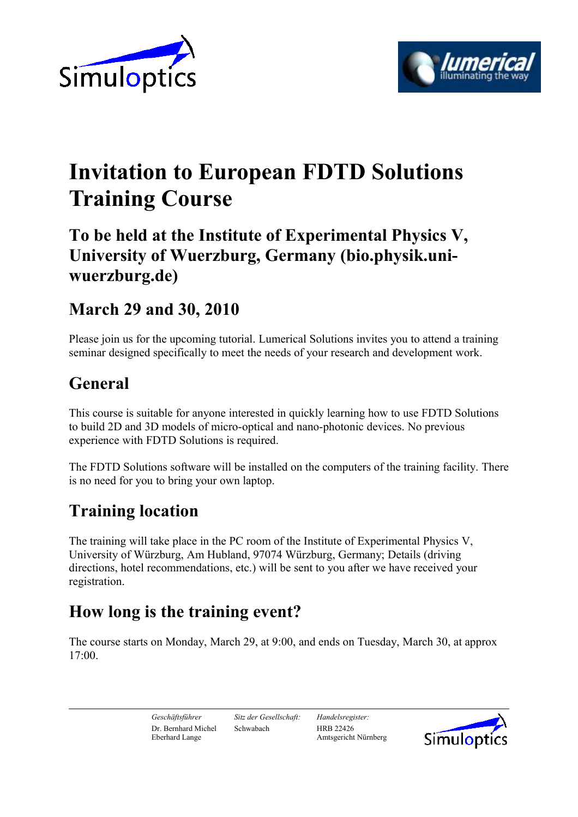



# **Invitation to European FDTD Solutions Training Course**

### **To be held at the Institute of Experimental Physics V, University of Wuerzburg, Germany (bio.physik.uniwuerzburg.de)**

### **March 29 and 30, 2010**

Please join us for the upcoming tutorial. Lumerical Solutions invites you to attend a training seminar designed specifically to meet the needs of your research and development work.

# **General**

This course is suitable for anyone interested in quickly learning how to use FDTD Solutions to build 2D and 3D models of micro-optical and nano-photonic devices. No previous experience with FDTD Solutions is required.

The FDTD Solutions software will be installed on the computers of the training facility. There is no need for you to bring your own laptop.

# **Training location**

The training will take place in the PC room of the Institute of Experimental Physics V, University of Würzburg, Am Hubland, 97074 Würzburg, Germany; Details (driving directions, hotel recommendations, etc.) will be sent to you after we have received your registration.

# **How long is the training event?**

The course starts on Monday, March 29, at 9:00, and ends on Tuesday, March 30, at approx 17:00.

*Geschäftsführer Sitz der Gesellschaft: Handelsregister:* Dr. Bernhard Michel Schwabach HRB 22426

Amtsgericht Nürnberg

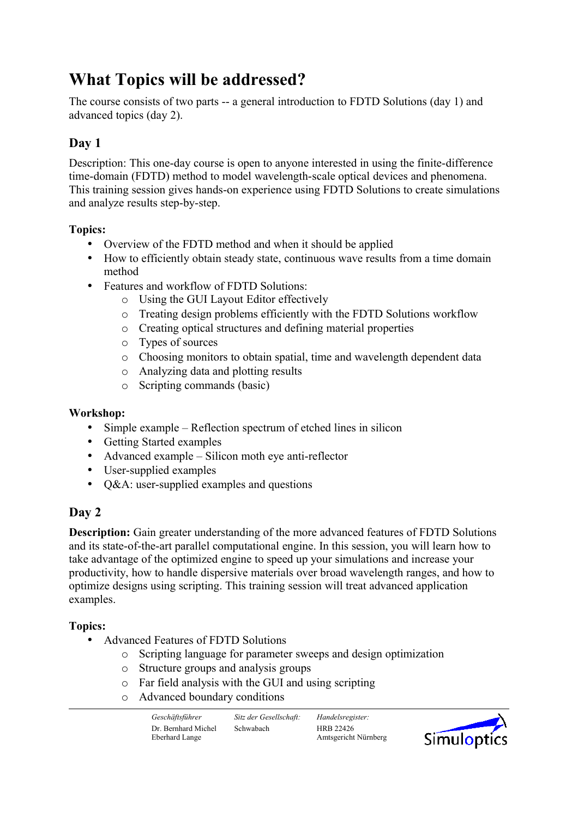# **What Topics will be addressed?**

The course consists of two parts -- a general introduction to FDTD Solutions (day 1) and advanced topics (day 2).

#### **Day 1**

Description: This one-day course is open to anyone interested in using the finite-difference time-domain (FDTD) method to model wavelength-scale optical devices and phenomena. This training session gives hands-on experience using FDTD Solutions to create simulations and analyze results step-by-step.

#### **Topics:**

- Overview of the FDTD method and when it should be applied
- How to efficiently obtain steady state, continuous wave results from a time domain method
- Features and workflow of FDTD Solutions:
	- o Using the GUI Layout Editor effectively
	- o Treating design problems efficiently with the FDTD Solutions workflow
	- o Creating optical structures and defining material properties
	- o Types of sources
	- o Choosing monitors to obtain spatial, time and wavelength dependent data
	- o Analyzing data and plotting results
	- o Scripting commands (basic)

#### **Workshop:**

- Simple example Reflection spectrum of etched lines in silicon
- Getting Started examples
- Advanced example Silicon moth eye anti-reflector
- User-supplied examples
- O&A: user-supplied examples and questions

#### **Day 2**

**Description:** Gain greater understanding of the more advanced features of FDTD Solutions and its state-of-the-art parallel computational engine. In this session, you will learn how to take advantage of the optimized engine to speed up your simulations and increase your productivity, how to handle dispersive materials over broad wavelength ranges, and how to optimize designs using scripting. This training session will treat advanced application examples.

#### **Topics:**

- Advanced Features of FDTD Solutions
	- o Scripting language for parameter sweeps and design optimization
	- o Structure groups and analysis groups
	- o Far field analysis with the GUI and using scripting
	- o Advanced boundary conditions

Dr. Bernhard Michel Schwabach HRB 22426

*Geschäftsführer Sitz der Gesellschaft: Handelsregister:* Amtsgericht Nürnberg